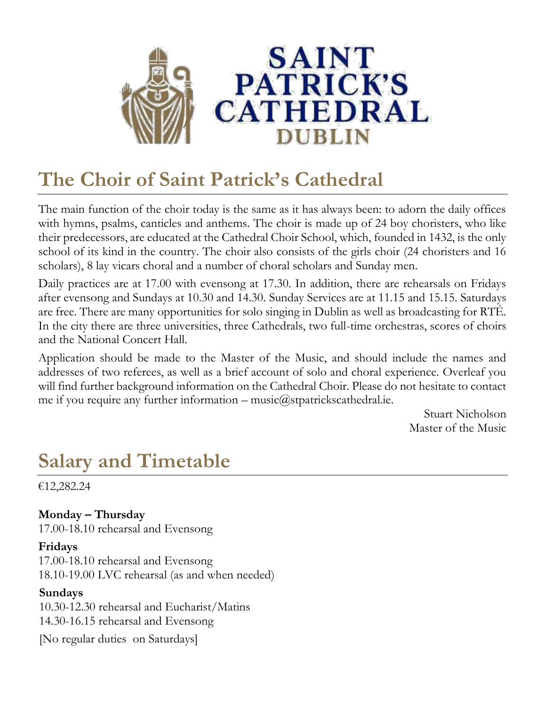

## **The Choir of Saint Patrick's Cathedral**

The main function of the choir today is the same as it has always been: to adorn the daily offices with hymns, psalms, canticles and anthems. The choir is made up of 24 boy choristers, who like their predecessors, are educated at the Cathedral Choir School, which, founded in 1432, is the only school of its kind in the country. The choir also consists of the girls choir (24 choristers and 16 scholars), 8 lay vicars choral and a number of choral scholars and Sunday men.

Daily practices are at 17.00 with evensong at 17.30. In addition, there are rehearsals on Fridays after evensong and Sundays at 10.30 and 14.30. Sunday Services are at 11.15 and 15.15. Saturdays are free. There are many opportunities for solo singing in Dublin as well as broadcasting for RTÉ. In the city there are three universities, three Cathedrals, two full-time orchestras, scores of choirs and the National Concert Hall.

Application should be made to the Master of the Music, and should include the names and addresses of two referees, as well as a brief account of solo and choral experience. Overleaf you will find further background information on the Cathedral Choir. Please do not hesitate to contact me if you require any further information – music $\omega$ stpatrickscathedral.ie.

Stuart Nicholson Master of the Music

### **Salary and Timetable**

€12,282.24

**Monday – Thursday** 17.00-18.10 rehearsal and Evensong

#### **Fridays**

17.00-18.10 rehearsal and Evensong 18.10-19.00 LVC rehearsal (as and when needed)

#### **Sundays**

10.30-12.30 rehearsal and Eucharist/Matins 14.30-16.15 rehearsal and Evensong

[No regular duties on Saturdays]